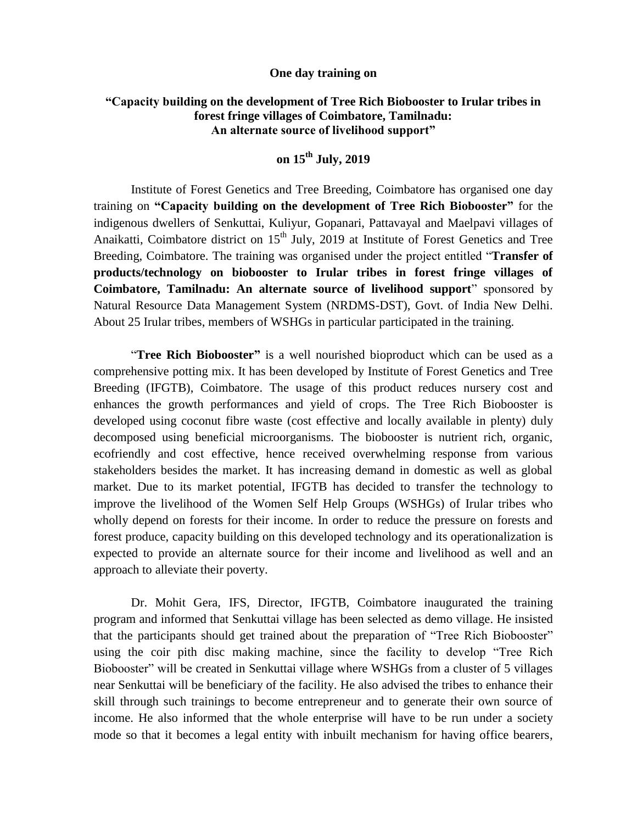## **One day training on**

## **"Capacity building on the development of Tree Rich Biobooster to Irular tribes in forest fringe villages of Coimbatore, Tamilnadu: An alternate source of livelihood support"**

## **on 15th July, 2019**

Institute of Forest Genetics and Tree Breeding, Coimbatore has organised one day training on **"Capacity building on the development of Tree Rich Biobooster"** for the indigenous dwellers of Senkuttai, Kuliyur, Gopanari, Pattavayal and Maelpavi villages of Anaikatti, Coimbatore district on  $15<sup>th</sup>$  July, 2019 at Institute of Forest Genetics and Tree Breeding, Coimbatore. The training was organised under the project entitled "**Transfer of products/technology on biobooster to Irular tribes in forest fringe villages of Coimbatore, Tamilnadu: An alternate source of livelihood support**" sponsored by Natural Resource Data Management System (NRDMS-DST), Govt. of India New Delhi. About 25 Irular tribes, members of WSHGs in particular participated in the training.

"**Tree Rich Biobooster"** is a well nourished bioproduct which can be used as a comprehensive potting mix. It has been developed by Institute of Forest Genetics and Tree Breeding (IFGTB), Coimbatore. The usage of this product reduces nursery cost and enhances the growth performances and yield of crops. The Tree Rich Biobooster is developed using coconut fibre waste (cost effective and locally available in plenty) duly decomposed using beneficial microorganisms. The biobooster is nutrient rich, organic, ecofriendly and cost effective, hence received overwhelming response from various stakeholders besides the market. It has increasing demand in domestic as well as global market. Due to its market potential, IFGTB has decided to transfer the technology to improve the livelihood of the Women Self Help Groups (WSHGs) of Irular tribes who wholly depend on forests for their income. In order to reduce the pressure on forests and forest produce, capacity building on this developed technology and its operationalization is expected to provide an alternate source for their income and livelihood as well and an approach to alleviate their poverty.

Dr. Mohit Gera, IFS, Director, IFGTB, Coimbatore inaugurated the training program and informed that Senkuttai village has been selected as demo village. He insisted that the participants should get trained about the preparation of "Tree Rich Biobooster" using the coir pith disc making machine, since the facility to develop "Tree Rich Biobooster" will be created in Senkuttai village where WSHGs from a cluster of 5 villages near Senkuttai will be beneficiary of the facility. He also advised the tribes to enhance their skill through such trainings to become entrepreneur and to generate their own source of income. He also informed that the whole enterprise will have to be run under a society mode so that it becomes a legal entity with inbuilt mechanism for having office bearers,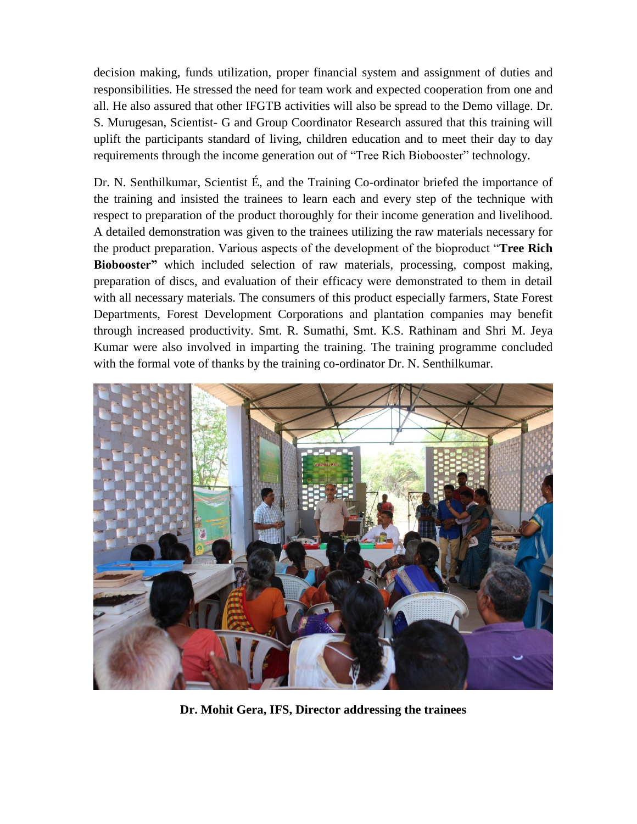decision making, funds utilization, proper financial system and assignment of duties and responsibilities. He stressed the need for team work and expected cooperation from one and all. He also assured that other IFGTB activities will also be spread to the Demo village. Dr. S. Murugesan, Scientist- G and Group Coordinator Research assured that this training will uplift the participants standard of living, children education and to meet their day to day requirements through the income generation out of "Tree Rich Biobooster" technology.

Dr. N. Senthilkumar, Scientist É, and the Training Co-ordinator briefed the importance of the training and insisted the trainees to learn each and every step of the technique with respect to preparation of the product thoroughly for their income generation and livelihood. A detailed demonstration was given to the trainees utilizing the raw materials necessary for the product preparation. Various aspects of the development of the bioproduct "**Tree Rich Biobooster"** which included selection of raw materials, processing, compost making, preparation of discs, and evaluation of their efficacy were demonstrated to them in detail with all necessary materials. The consumers of this product especially farmers, State Forest Departments, Forest Development Corporations and plantation companies may benefit through increased productivity. Smt. R. Sumathi, Smt. K.S. Rathinam and Shri M. Jeya Kumar were also involved in imparting the training. The training programme concluded with the formal vote of thanks by the training co-ordinator Dr. N. Senthilkumar.



**Dr. Mohit Gera, IFS, Director addressing the trainees**